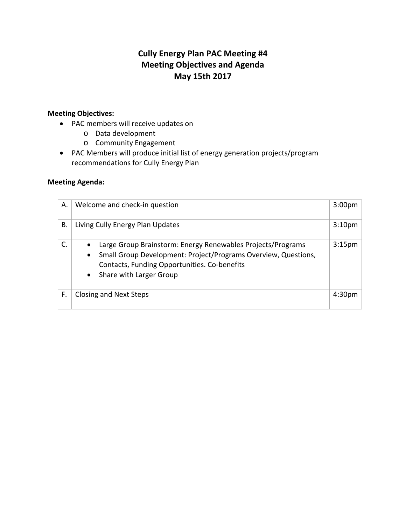# **Cully Energy Plan PAC Meeting #4 Meeting Objectives and Agenda May 15th 2017**

## **Meeting Objectives:**

- PAC members will receive updates on
	- o Data development
	- o Community Engagement
- PAC Members will produce initial list of energy generation projects/program recommendations for Cully Energy Plan

### **Meeting Agenda:**

| А. | Welcome and check-in question                                                                                                                                                                                                      | 3:00 <sub>pm</sub> |
|----|------------------------------------------------------------------------------------------------------------------------------------------------------------------------------------------------------------------------------------|--------------------|
| В. | Living Cully Energy Plan Updates                                                                                                                                                                                                   | 3:10 <sub>pm</sub> |
| C. | Large Group Brainstorm: Energy Renewables Projects/Programs<br>Small Group Development: Project/Programs Overview, Questions,<br>$\bullet$<br>Contacts, Funding Opportunities. Co-benefits<br>Share with Larger Group<br>$\bullet$ | 3:15 <sub>pm</sub> |
| F. | <b>Closing and Next Steps</b>                                                                                                                                                                                                      | 4:30               |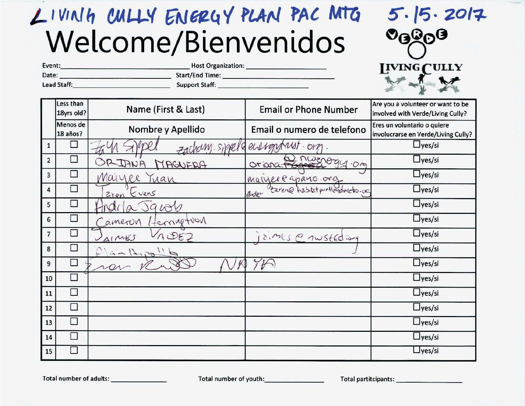# LIVINIA CULLY ENERGY PLAN PAC MTG Welcome/Bienvenidos

Lead Staff: Support Staff:

|                                                   | 15.2017 |  |
|---------------------------------------------------|---------|--|
| $\mathcal{O}_\mathbf{G} \mathcal{Q}_\mathbf{O}$ G |         |  |
|                                                   |         |  |
| <b>IVING CULLY</b>                                |         |  |
|                                                   |         |  |

|                  | Less than<br>18yrs old?  | Name (First & Last)               | <b>Email or Phone Number</b>            | Are you a volunteer or want to be<br>involved with Verde/Living Cully? |
|------------------|--------------------------|-----------------------------------|-----------------------------------------|------------------------------------------------------------------------|
|                  | Menos de<br>18 años?     | Nombre y Apellido                 | Email o numero de telefono              | Eres un voluntario o quiere<br>involucrarse en Verde/Living Cully?     |
| $\mathbf{1}$     | П                        | rang. Sikkele energy              | OM                                      | $\Box$ yes/si                                                          |
| $\overline{2}$   | $\overline{\phantom{a}}$ | ORIANA<br>MAGNERA                 | Oriona. Page 094.09                     | $\Box$ yes/si                                                          |
| $\mathbf{3}$     | □                        | Maiyee<br>Tuan                    | marrel @ aparo.org                      | $\square$ yes/si                                                       |
| 4                | П                        | aren Evans                        | taren@habitatportlandmetro.com<br>arter | $\Box$ yes/si                                                          |
| 5                | П                        | Javob                             |                                         | $\Box$ yes/si                                                          |
| 6                | $\Box$                   | terringtoon<br>ameron             |                                         | $\square$ yes/si                                                       |
| $\overline{7}$   | $\Box$                   | 7582<br>$41^{\prime\prime\prime}$ | aines @ nusted :og                      | $\Box$ yes/si                                                          |
| 8                | $\Box$                   |                                   |                                         | $\Box$ yes/si                                                          |
| $\boldsymbol{9}$ | $\Box$                   |                                   |                                         | $\Box$ yes/si                                                          |
| 10               | $\Box$                   |                                   |                                         | $\Box$ yes/si                                                          |
| 11               | П                        |                                   |                                         | $\Box$ yes/si                                                          |
| 12               | П                        |                                   |                                         | $\Box$ yes/si                                                          |
| 13               | $\Box$                   |                                   |                                         | $\Box$ yes/si                                                          |
| 14               | $\Box$                   |                                   |                                         | $\Box$ yes/si                                                          |
| 15               | $\Box$                   |                                   |                                         | $\Box$ yes/si                                                          |

Total number of youth: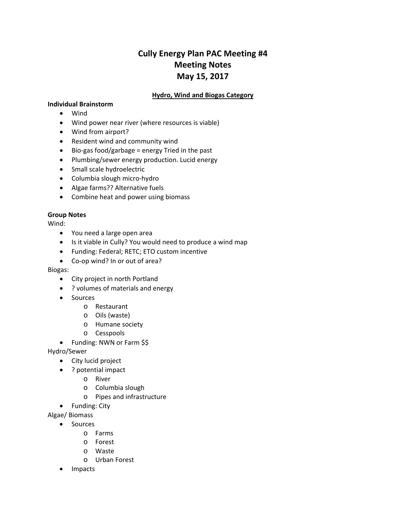# **Cully Energy Plan PAC Meeting #4 Meeting Notes May 15, 2017**

#### **Hydro, Wind and Biogas Category**

#### **Individual Brainstorm**

- Wind
- Wind power near river (where resources is viable)
- Wind from airport?
- Resident wind and community wind
- Bio-gas food/garbage = energy Tried in the past
- Plumbing/sewer energy production. Lucid energy
- Small scale hydroelectric
- Columbia slough micro-hydro
- Algae farms?? Alternative fuels
- Combine heat and power using biomass

#### **Group Notes**

Wind:

- You need a large open area
- Is it viable in Cully? You would need to produce a wind map
- Funding: Federal; RETC; ETO custom incentive
- Co-op wind? In or out of area?

Biogas:

- City project in north Portland
- ? volumes of materials and energy
- Sources
	- o Restaurant
	- o Oils (waste)
	- o Humane society
	- o Cesspools
- Funding: NWN or Farm \$\$

Hydro/Sewer

- City lucid project
- ? potential impact
	- o River
	- o Columbia slough
	- o Pipes and infrastructure
- Funding: City

Algae/ Biomass

- Sources
	- o Farms
	- o Forest
	- o Waste
	- o Urban Forest
- Impacts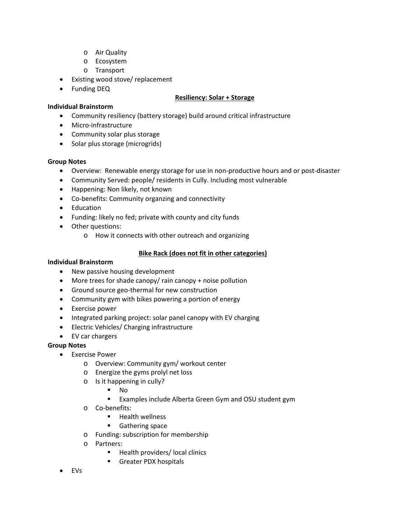- o Air Quality
- o Ecosystem
- o Transport
- Existing wood stove/ replacement
- Funding DEQ

**Individual Brainstorm**

#### **Resiliency: Solar + Storage**

- Community resiliency (battery storage) build around critical infrastructure
- Micro-infrastructure
- Community solar plus storage
- Solar plus storage (microgrids)

#### **Group Notes**

- Overview: Renewable energy storage for use in non-productive hours and or post-disaster
- Community Served: people/ residents in Cully. Including most vulnerable
- Happening: Non likely, not known
- Co-benefits: Community organzing and connectivity
- Education
- Funding: likely no fed; private with county and city funds
- Other questions:
	- o How it connects with other outreach and organizing

#### **Bike Rack (does not fit in other categories)**

#### **Individual Brainstorm**

- New passive housing development
- More trees for shade canopy/ rain canopy + noise pollution
- Ground source geo-thermal for new construction
- Community gym with bikes powering a portion of energy
- Exercise power
- Integrated parking project: solar panel canopy with EV charging
- Electric Vehicles/ Charging infrastructure
- EV car chargers

#### **Group Notes**

- Exercise Power
	- o Overview: Community gym/ workout center
	- o Energize the gyms prolyl net loss
	- o Is it happening in cully?
		- No
		- **EXamples include Alberta Green Gym and OSU student gym**
	- o Co-benefits:
		- $H$  Health wellness
		- Gathering space
	- o Funding: subscription for membership
	- o Partners:
		- Health providers/ local clinics
		- **Greater PDX hospitals**
- EVs